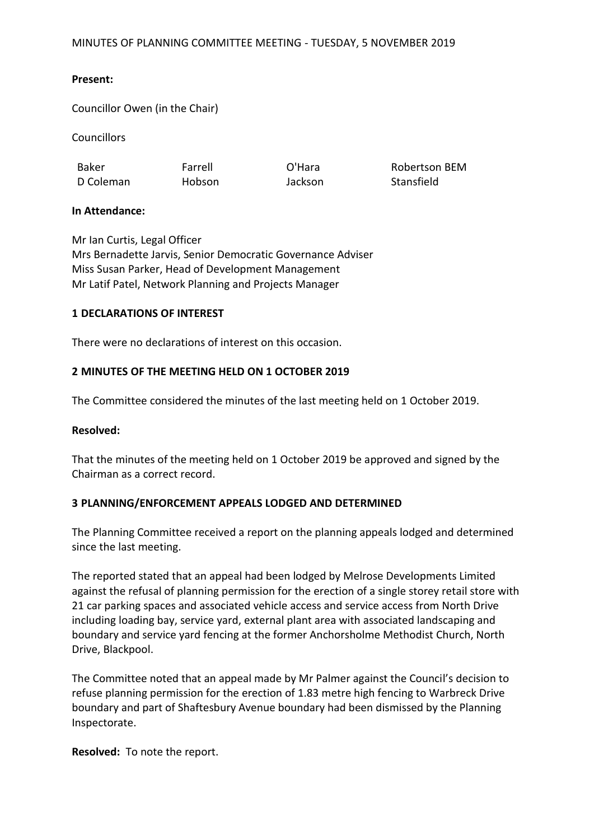# **Present:**

Councillor Owen (in the Chair)

**Councillors** 

Baker D Coleman Farrell Hobson O'Hara Jackson Robertson BEM **Stansfield** 

#### **In Attendance:**

Mr Ian Curtis, Legal Officer Mrs Bernadette Jarvis, Senior Democratic Governance Adviser Miss Susan Parker, Head of Development Management Mr Latif Patel, Network Planning and Projects Manager

# **1 DECLARATIONS OF INTEREST**

There were no declarations of interest on this occasion.

#### **2 MINUTES OF THE MEETING HELD ON 1 OCTOBER 2019**

The Committee considered the minutes of the last meeting held on 1 October 2019.

#### **Resolved:**

That the minutes of the meeting held on 1 October 2019 be approved and signed by the Chairman as a correct record.

# **3 PLANNING/ENFORCEMENT APPEALS LODGED AND DETERMINED**

The Planning Committee received a report on the planning appeals lodged and determined since the last meeting.

The reported stated that an appeal had been lodged by Melrose Developments Limited against the refusal of planning permission for the erection of a single storey retail store with 21 car parking spaces and associated vehicle access and service access from North Drive including loading bay, service yard, external plant area with associated landscaping and boundary and service yard fencing at the former Anchorsholme Methodist Church, North Drive, Blackpool.

The Committee noted that an appeal made by Mr Palmer against the Council's decision to refuse planning permission for the erection of 1.83 metre high fencing to Warbreck Drive boundary and part of Shaftesbury Avenue boundary had been dismissed by the Planning Inspectorate.

**Resolved:** To note the report.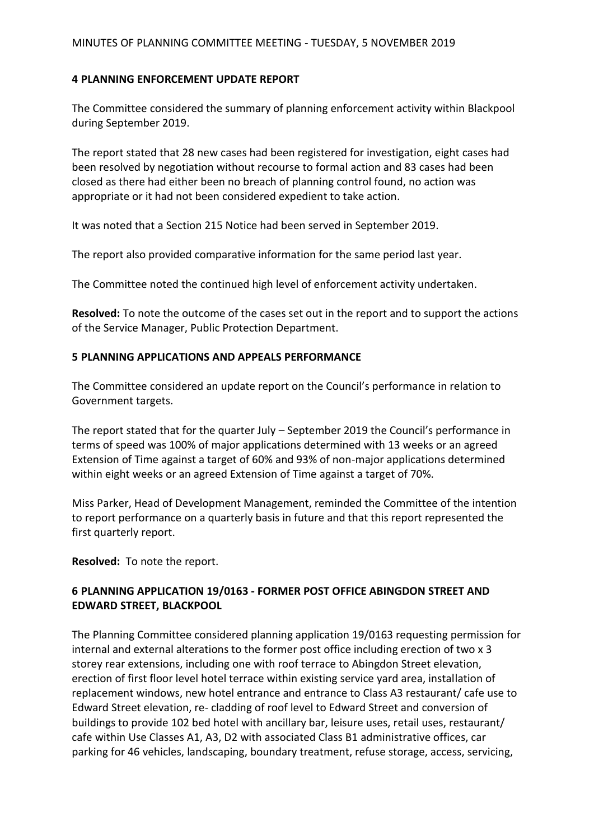# **4 PLANNING ENFORCEMENT UPDATE REPORT**

The Committee considered the summary of planning enforcement activity within Blackpool during September 2019.

The report stated that 28 new cases had been registered for investigation, eight cases had been resolved by negotiation without recourse to formal action and 83 cases had been closed as there had either been no breach of planning control found, no action was appropriate or it had not been considered expedient to take action.

It was noted that a Section 215 Notice had been served in September 2019.

The report also provided comparative information for the same period last year.

The Committee noted the continued high level of enforcement activity undertaken.

**Resolved:** To note the outcome of the cases set out in the report and to support the actions of the Service Manager, Public Protection Department.

#### **5 PLANNING APPLICATIONS AND APPEALS PERFORMANCE**

The Committee considered an update report on the Council's performance in relation to Government targets.

The report stated that for the quarter July – September 2019 the Council's performance in terms of speed was 100% of major applications determined with 13 weeks or an agreed Extension of Time against a target of 60% and 93% of non-major applications determined within eight weeks or an agreed Extension of Time against a target of 70%.

Miss Parker, Head of Development Management, reminded the Committee of the intention to report performance on a quarterly basis in future and that this report represented the first quarterly report.

**Resolved:** To note the report.

# **6 PLANNING APPLICATION 19/0163 - FORMER POST OFFICE ABINGDON STREET AND EDWARD STREET, BLACKPOOL**

The Planning Committee considered planning application 19/0163 requesting permission for internal and external alterations to the former post office including erection of two x 3 storey rear extensions, including one with roof terrace to Abingdon Street elevation, erection of first floor level hotel terrace within existing service yard area, installation of replacement windows, new hotel entrance and entrance to Class A3 restaurant/ cafe use to Edward Street elevation, re- cladding of roof level to Edward Street and conversion of buildings to provide 102 bed hotel with ancillary bar, leisure uses, retail uses, restaurant/ cafe within Use Classes A1, A3, D2 with associated Class B1 administrative offices, car parking for 46 vehicles, landscaping, boundary treatment, refuse storage, access, servicing,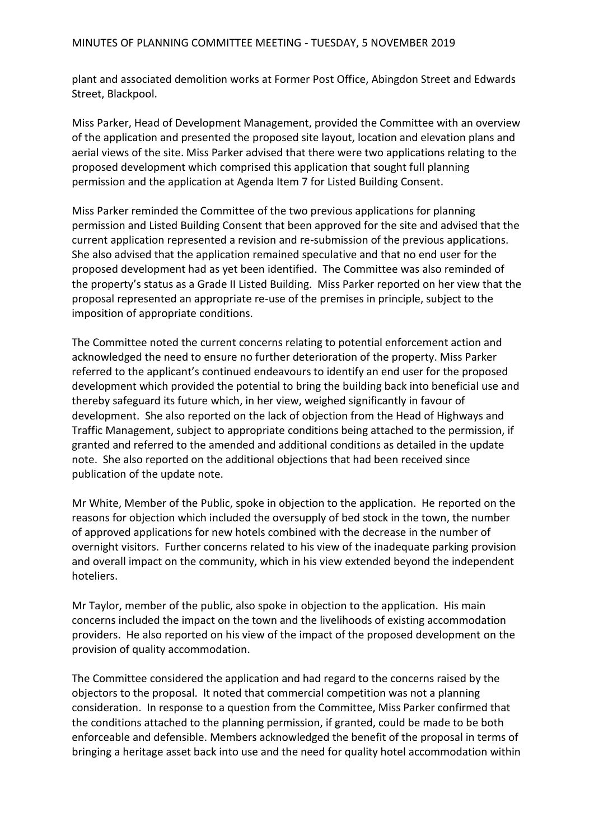#### MINUTES OF PLANNING COMMITTEE MEETING - TUESDAY, 5 NOVEMBER 2019

plant and associated demolition works at Former Post Office, Abingdon Street and Edwards Street, Blackpool.

Miss Parker, Head of Development Management, provided the Committee with an overview of the application and presented the proposed site layout, location and elevation plans and aerial views of the site. Miss Parker advised that there were two applications relating to the proposed development which comprised this application that sought full planning permission and the application at Agenda Item 7 for Listed Building Consent.

Miss Parker reminded the Committee of the two previous applications for planning permission and Listed Building Consent that been approved for the site and advised that the current application represented a revision and re-submission of the previous applications. She also advised that the application remained speculative and that no end user for the proposed development had as yet been identified. The Committee was also reminded of the property's status as a Grade II Listed Building. Miss Parker reported on her view that the proposal represented an appropriate re-use of the premises in principle, subject to the imposition of appropriate conditions.

The Committee noted the current concerns relating to potential enforcement action and acknowledged the need to ensure no further deterioration of the property. Miss Parker referred to the applicant's continued endeavours to identify an end user for the proposed development which provided the potential to bring the building back into beneficial use and thereby safeguard its future which, in her view, weighed significantly in favour of development. She also reported on the lack of objection from the Head of Highways and Traffic Management, subject to appropriate conditions being attached to the permission, if granted and referred to the amended and additional conditions as detailed in the update note. She also reported on the additional objections that had been received since publication of the update note.

Mr White, Member of the Public, spoke in objection to the application. He reported on the reasons for objection which included the oversupply of bed stock in the town, the number of approved applications for new hotels combined with the decrease in the number of overnight visitors. Further concerns related to his view of the inadequate parking provision and overall impact on the community, which in his view extended beyond the independent hoteliers.

Mr Taylor, member of the public, also spoke in objection to the application. His main concerns included the impact on the town and the livelihoods of existing accommodation providers. He also reported on his view of the impact of the proposed development on the provision of quality accommodation.

The Committee considered the application and had regard to the concerns raised by the objectors to the proposal. It noted that commercial competition was not a planning consideration. In response to a question from the Committee, Miss Parker confirmed that the conditions attached to the planning permission, if granted, could be made to be both enforceable and defensible. Members acknowledged the benefit of the proposal in terms of bringing a heritage asset back into use and the need for quality hotel accommodation within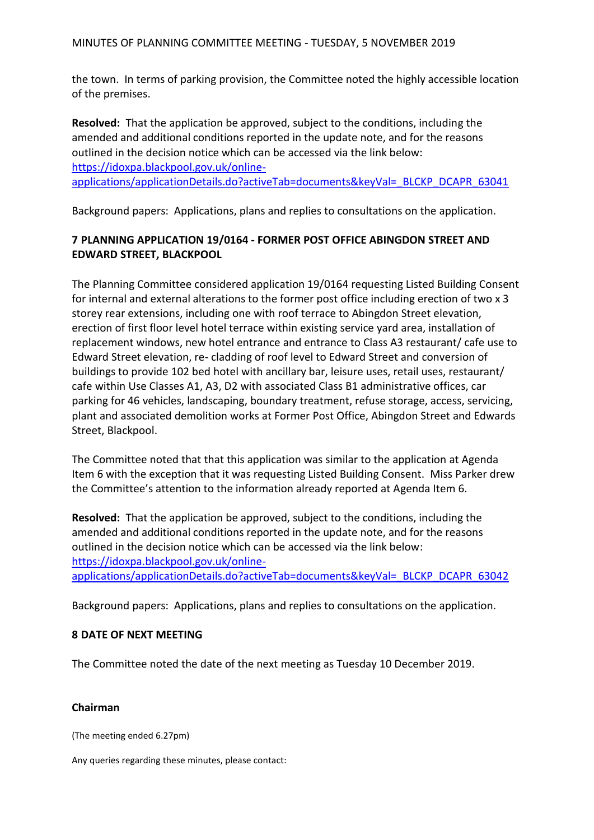the town. In terms of parking provision, the Committee noted the highly accessible location of the premises.

**Resolved:** That the application be approved, subject to the conditions, including the amended and additional conditions reported in the update note, and for the reasons outlined in the decision notice which can be accessed via the link below: [https://idoxpa.blackpool.gov.uk/online](https://idoxpa.blackpool.gov.uk/online-applications/applicationDetails.do?activeTab=documents&keyVal=_BLCKP_DCAPR_63041)[applications/applicationDetails.do?activeTab=documents&keyVal=\\_BLCKP\\_DCAPR\\_63041](https://idoxpa.blackpool.gov.uk/online-applications/applicationDetails.do?activeTab=documents&keyVal=_BLCKP_DCAPR_63041)

Background papers: Applications, plans and replies to consultations on the application.

# **7 PLANNING APPLICATION 19/0164 - FORMER POST OFFICE ABINGDON STREET AND EDWARD STREET, BLACKPOOL**

The Planning Committee considered application 19/0164 requesting Listed Building Consent for internal and external alterations to the former post office including erection of two x 3 storey rear extensions, including one with roof terrace to Abingdon Street elevation, erection of first floor level hotel terrace within existing service yard area, installation of replacement windows, new hotel entrance and entrance to Class A3 restaurant/ cafe use to Edward Street elevation, re- cladding of roof level to Edward Street and conversion of buildings to provide 102 bed hotel with ancillary bar, leisure uses, retail uses, restaurant/ cafe within Use Classes A1, A3, D2 with associated Class B1 administrative offices, car parking for 46 vehicles, landscaping, boundary treatment, refuse storage, access, servicing, plant and associated demolition works at Former Post Office, Abingdon Street and Edwards Street, Blackpool.

The Committee noted that that this application was similar to the application at Agenda Item 6 with the exception that it was requesting Listed Building Consent. Miss Parker drew the Committee's attention to the information already reported at Agenda Item 6.

**Resolved:** That the application be approved, subject to the conditions, including the amended and additional conditions reported in the update note, and for the reasons outlined in the decision notice which can be accessed via the link below: [https://idoxpa.blackpool.gov.uk/online](https://idoxpa.blackpool.gov.uk/online-applications/applicationDetails.do?activeTab=documents&keyVal=_BLCKP_DCAPR_63042)[applications/applicationDetails.do?activeTab=documents&keyVal=\\_BLCKP\\_DCAPR\\_63042](https://idoxpa.blackpool.gov.uk/online-applications/applicationDetails.do?activeTab=documents&keyVal=_BLCKP_DCAPR_63042)

Background papers: Applications, plans and replies to consultations on the application.

# **8 DATE OF NEXT MEETING**

The Committee noted the date of the next meeting as Tuesday 10 December 2019.

# **Chairman**

(The meeting ended 6.27pm)

Any queries regarding these minutes, please contact: